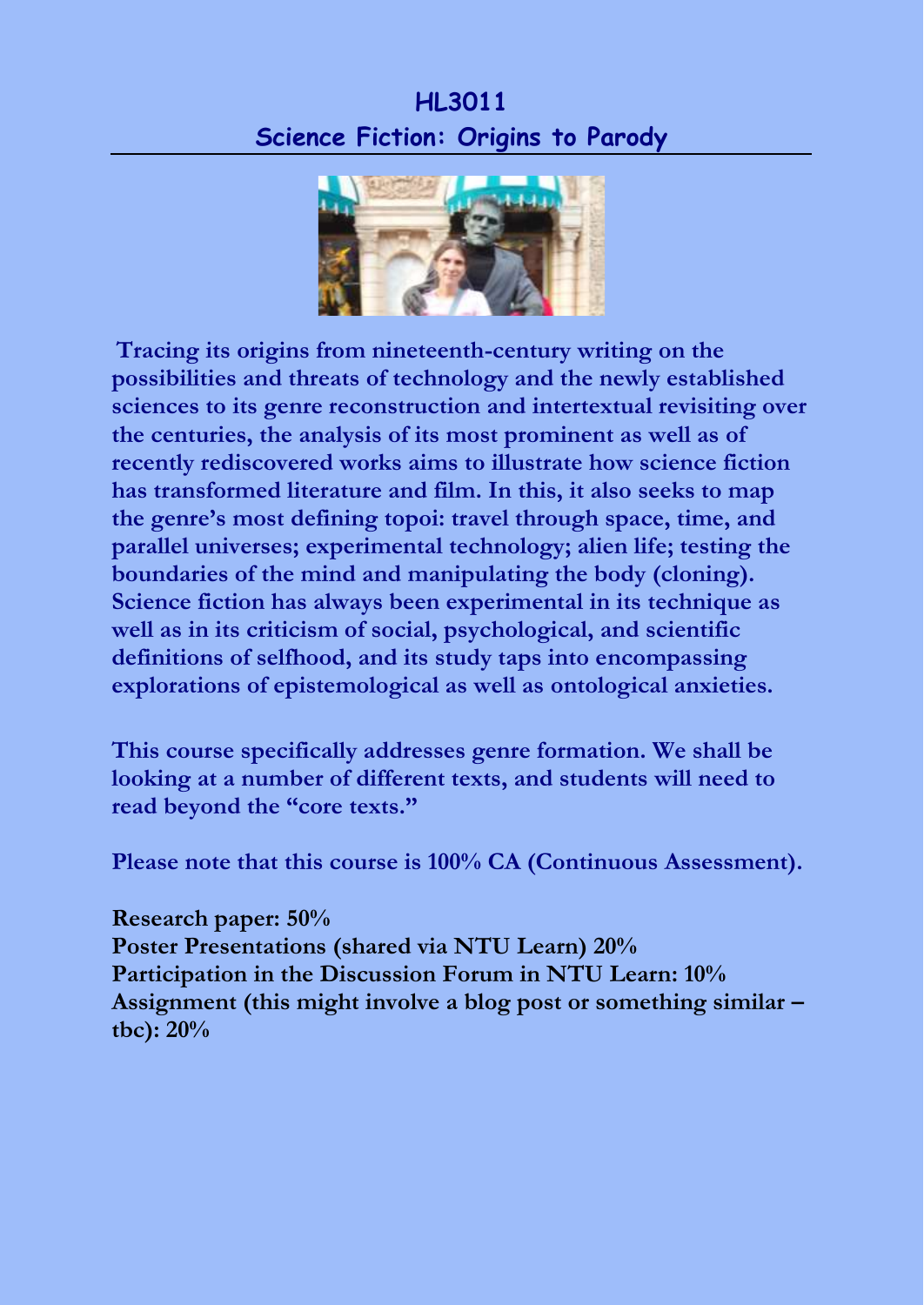## **HL3011 Science Fiction: Origins to Parody**



**Tracing its origins from nineteenth-century writing on the possibilities and threats of technology and the newly established sciences to its genre reconstruction and intertextual revisiting over the centuries, the analysis of its most prominent as well as of recently rediscovered works aims to illustrate how science fiction has transformed literature and film. In this, it also seeks to map the genre's most defining topoi: travel through space, time, and parallel universes; experimental technology; alien life; testing the boundaries of the mind and manipulating the body (cloning). Science fiction has always been experimental in its technique as well as in its criticism of social, psychological, and scientific definitions of selfhood, and its study taps into encompassing explorations of epistemological as well as ontological anxieties.**

**This course specifically addresses genre formation. We shall be looking at a number of different texts, and students will need to read beyond the "core texts."**

**Please note that this course is 100% CA (Continuous Assessment).**

**Research paper: 50% Poster Presentations (shared via NTU Learn) 20% Participation in the Discussion Forum in NTU Learn: 10% Assignment (this might involve a blog post or something similar – tbc): 20%**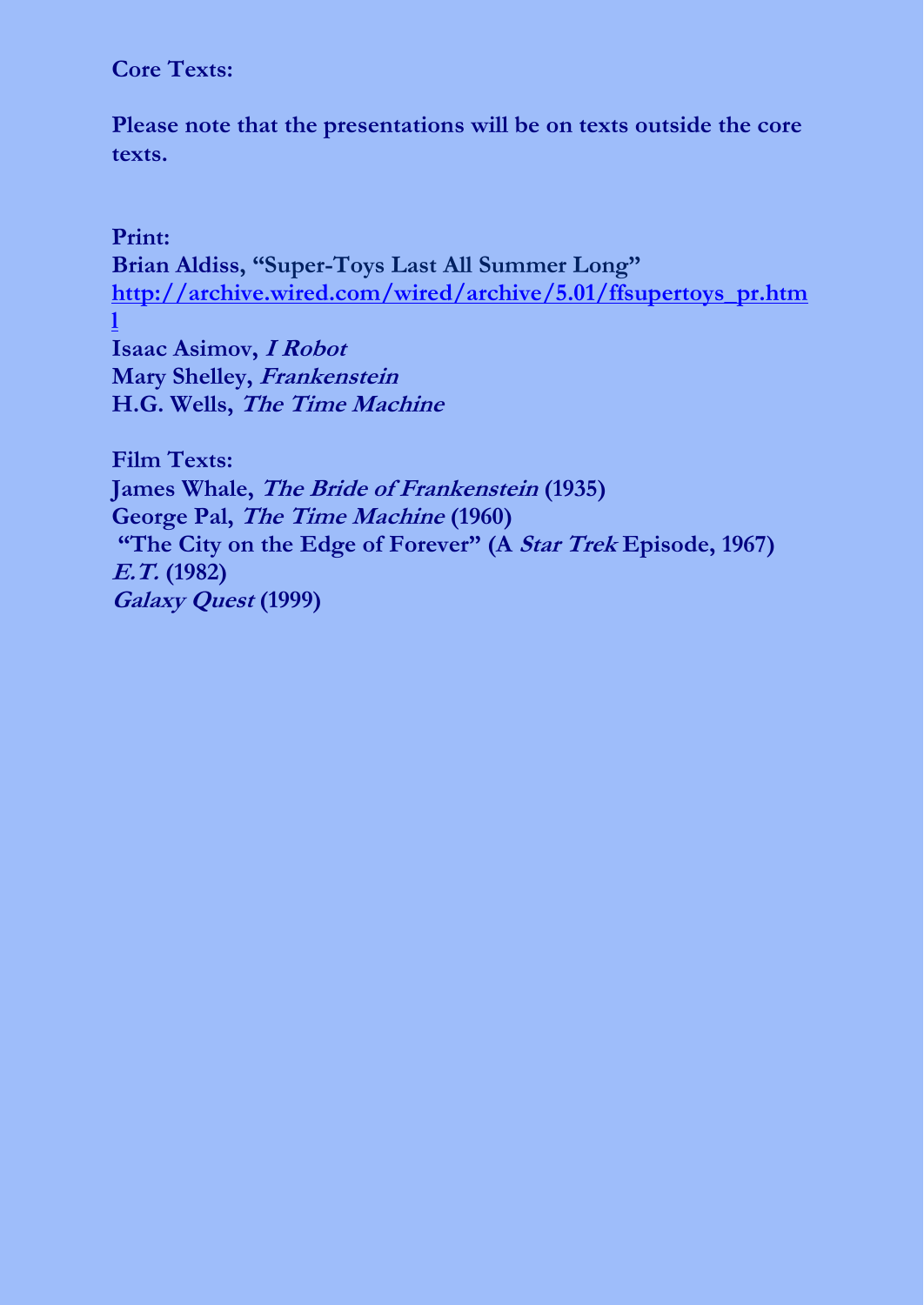## **Core Texts:**

**Please note that the presentations will be on texts outside the core texts.**

## **Print:**

**Brian Aldiss, "Super-Toys Last All Summer Long" [http://archive.wired.com/wired/archive/5.01/ffsupertoys\\_pr.htm](http://archive.wired.com/wired/archive/5.01/ffsupertoys_pr.html) [l](http://archive.wired.com/wired/archive/5.01/ffsupertoys_pr.html)**

**Isaac Asimov, I Robot Mary Shelley, Frankenstein H.G. Wells, The Time Machine**

**Film Texts: James Whale, The Bride of Frankenstein (1935) George Pal, The Time Machine (1960) "The City on the Edge of Forever" (A Star Trek Episode, 1967) E.T. (1982) Galaxy Quest (1999)**